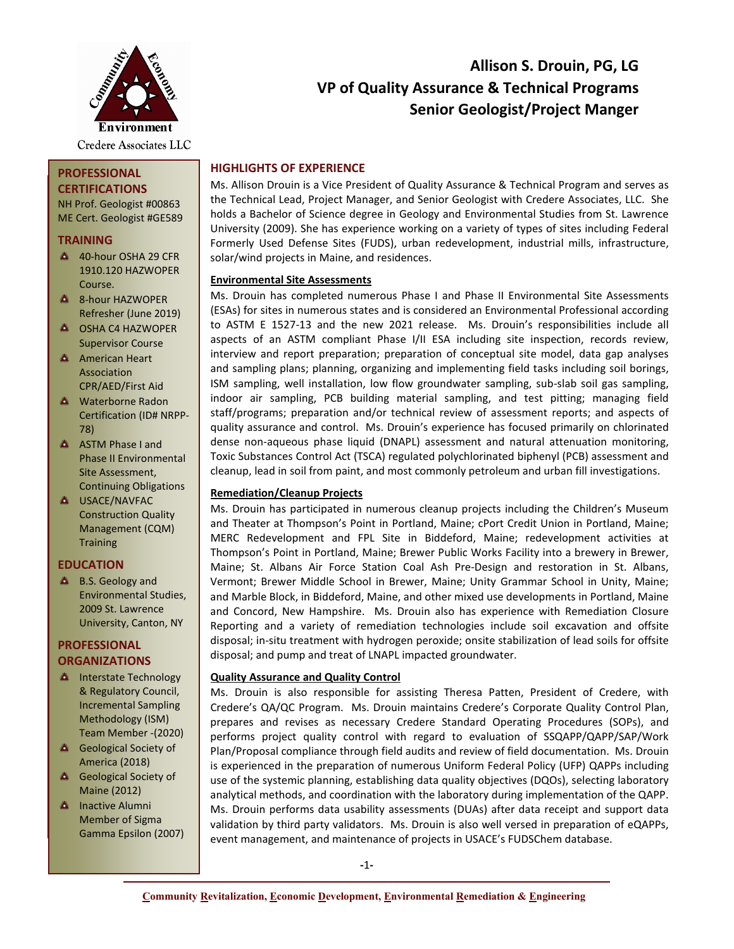

**PROFESSIONAL CERTIFICATIONS** NH Prof. Geologist #00863 ME Cert. Geologist #GE589

**TRAINING**

Course. **A** 8-hour HAZWOPER Refresher (June 2019) **A OSHA C4 HAZWOPER** Supervisor Course **A** American Heart Association

# **Allison S. Drouin, PG, LG VP of Quality Assurance & Technical Programs Senior Geologist/Project Manger**

# **HIGHLIGHTS OF EXPERIENCE**

Ms. Allison Drouin is a Vice President of Quality Assurance & Technical Program and serves as the Technical Lead, Project Manager, and Senior Geologist with Credere Associates, LLC. She holds a Bachelor of Science degree in Geology and Environmental Studies from St. Lawrence University (2009). She has experience working on a variety of types of sites including Federal Formerly Used Defense Sites (FUDS), urban redevelopment, industrial mills, infrastructure, solar/wind projects in Maine, and residences.

# **Environmental Site Assessments**

Ms. Drouin has completed numerous Phase I and Phase II Environmental Site Assessments (ESAs) for sites in numerous states and is considered an Environmental Professional according to ASTM E 1527-13 and the new 2021 release. Ms. Drouin's responsibilities include all aspects of an ASTM compliant Phase I/II ESA including site inspection, records review, interview and report preparation; preparation of conceptual site model, data gap analyses and sampling plans; planning, organizing and implementing field tasks including soil borings, ISM sampling, well installation, low flow groundwater sampling, sub-slab soil gas sampling, indoor air sampling, PCB building material sampling, and test pitting; managing field staff/programs; preparation and/or technical review of assessment reports; and aspects of quality assurance and control. Ms. Drouin's experience has focused primarily on chlorinated dense non-aqueous phase liquid (DNAPL) assessment and natural attenuation monitoring, Toxic Substances Control Act (TSCA) regulated polychlorinated biphenyl (PCB) assessment and cleanup, lead in soil from paint, and most commonly petroleum and urban fill investigations.

# **Remediation/Cleanup Projects**

Ms. Drouin has participated in numerous cleanup projects including the Children's Museum and Theater at Thompson's Point in Portland, Maine; cPort Credit Union in Portland, Maine; MERC Redevelopment and FPL Site in Biddeford, Maine; redevelopment activities at Thompson's Point in Portland, Maine; Brewer Public Works Facility into a brewery in Brewer, Maine; St. Albans Air Force Station Coal Ash Pre-Design and restoration in St. Albans, Vermont; Brewer Middle School in Brewer, Maine; Unity Grammar School in Unity, Maine; and Marble Block, in Biddeford, Maine, and other mixed use developments in Portland, Maine and Concord, New Hampshire. Ms. Drouin also has experience with Remediation Closure Reporting and a variety of remediation technologies include soil excavation and offsite disposal; in-situ treatment with hydrogen peroxide; onsite stabilization of lead soils for offsite disposal; and pump and treat of LNAPL impacted groundwater.

# **Quality Assurance and Quality Control**

Ms. Drouin is also responsible for assisting Theresa Patten, President of Credere, with Credere's QA/QC Program. Ms. Drouin maintains Credere's Corporate Quality Control Plan, prepares and revises as necessary Credere Standard Operating Procedures (SOPs), and performs project quality control with regard to evaluation of SSQAPP/QAPP/SAP/Work Plan/Proposal compliance through field audits and review of field documentation. Ms. Drouin is experienced in the preparation of numerous Uniform Federal Policy (UFP) QAPPs including use of the systemic planning, establishing data quality objectives (DQOs), selecting laboratory analytical methods, and coordination with the laboratory during implementation of the QAPP. Ms. Drouin performs data usability assessments (DUAs) after data receipt and support data validation by third party validators. Ms. Drouin is also well versed in preparation of eQAPPs, event management, and maintenance of projects in USACE's FUDSChem database.

CPR/AED/First Aid **A** Waterborne Radon Certification (ID# NRPP-78)

40-hour OSHA 29 CFR 1910.120 HAZWOPER

- A ASTM Phase I and Phase II Environmental Site Assessment, Continuing Obligations
- **A** USACE/NAVFAC Construction Quality Management (CQM) **Training**

# **EDUCATION**

**A** B.S. Geology and Environmental Studies, 2009 St. Lawrence University, Canton, NY

# **PROFESSIONAL ORGANIZATIONS**

- **A** Interstate Technology & Regulatory Council, Incremental Sampling Methodology (ISM) Team Member -(2020)
- **Geological Society of** America (2018)
- **4** Geological Society of Maine (2012)
- **A** Inactive Alumni Member of Sigma Gamma Epsilon (2007)